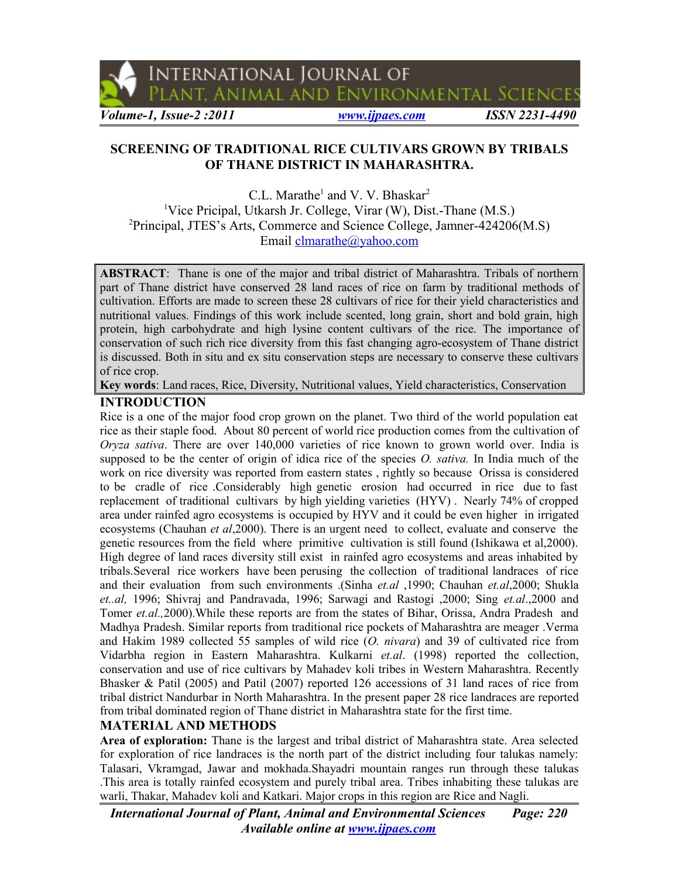

International Journal of

PLANT, ANIMAL AND ENVIRONMENTAL SCIENCES

*Volume-1, Issue-2 :2011 [www.ijpaes.com](http://www.ijpaes.com/) ISSN 2231-4490*

# **SCREENING OF TRADITIONAL RICE CULTIVARS GROWN BY TRIBALS OF THANE DISTRICT IN MAHARASHTRA.**

C.L. Marathe<sup>1</sup> and V. V. Bhaskar<sup>2</sup> <sup>1</sup>Vice Pricipal, Utkarsh Jr. College, Virar (W), Dist.-Thane (M.S.) <sup>2</sup>Principal, JTES's Arts, Commerce and Science College, Jamner-424206(M.S) Email [clmarathe@yahoo.com](mailto:clmarathe@yahoo.com)

**ABSTRACT**: Thane is one of the major and tribal district of Maharashtra. Tribals of northern part of Thane district have conserved 28 land races of rice on farm by traditional methods of cultivation. Efforts are made to screen these 28 cultivars of rice for their yield characteristics and nutritional values. Findings of this work include scented, long grain, short and bold grain, high protein, high carbohydrate and high lysine content cultivars of the rice. The importance of conservation of such rich rice diversity from this fast changing agro-ecosystem of Thane district is discussed. Both in situ and ex situ conservation steps are necessary to conserve these cultivars of rice crop.

**Key words**: Land races, Rice, Diversity, Nutritional values, Yield characteristics, Conservation

# **INTRODUCTION**

Rice is a one of the major food crop grown on the planet. Two third of the world population eat rice as their staple food. About 80 percent of world rice production comes from the cultivation of *Oryza sativa*. There are over 140,000 varieties of rice known to grown world over. India is supposed to be the center of origin of idica rice of the species *O. sativa.* In India much of the work on rice diversity was reported from eastern states , rightly so because Orissa is considered to be cradle of rice .Considerably high genetic erosion had occurred in rice due to fast replacement of traditional cultivars by high yielding varieties (HYV) . Nearly 74% of cropped area under rainfed agro ecosystems is occupied by HYV and it could be even higher in irrigated ecosystems (Chauhan *et al*,2000). There is an urgent need to collect, evaluate and conserve the genetic resources from the field where primitive cultivation is still found (Ishikawa et al,2000). High degree of land races diversity still exist in rainfed agro ecosystems and areas inhabited by tribals.Several rice workers have been perusing the collection of traditional landraces of rice and their evaluation from such environments .(Sinha *et.al* ,1990; Chauhan *et.al*,2000; Shukla *et..al,* 1996; Shivraj and Pandravada, 1996; Sarwagi and Rastogi ,2000; Sing *et.al*.,2000 and Tomer *et.al.,*2000).While these reports are from the states of Bihar, Orissa, Andra Pradesh and Madhya Pradesh. Similar reports from traditional rice pockets of Maharashtra are meager .Verma and Hakim 1989 collected 55 samples of wild rice (*O. nivara*) and 39 of cultivated rice from Vidarbha region in Eastern Maharashtra. Kulkarni *et.al*. (1998) reported the collection, conservation and use of rice cultivars by Mahadev koli tribes in Western Maharashtra. Recently Bhasker & Patil (2005) and Patil (2007) reported 126 accessions of 31 land races of rice from tribal district Nandurbar in North Maharashtra. In the present paper 28 rice landraces are reported from tribal dominated region of Thane district in Maharashtra state for the first time.

## **MATERIAL AND METHODS**

**Area of exploration:** Thane is the largest and tribal district of Maharashtra state. Area selected for exploration of rice landraces is the north part of the district including four talukas namely: Talasari, Vkramgad, Jawar and mokhada.Shayadri mountain ranges run through these talukas .This area is totally rainfed ecosystem and purely tribal area. Tribes inhabiting these talukas are warli, Thakar, Mahadev koli and Katkari. Major crops in this region are Rice and Nagli.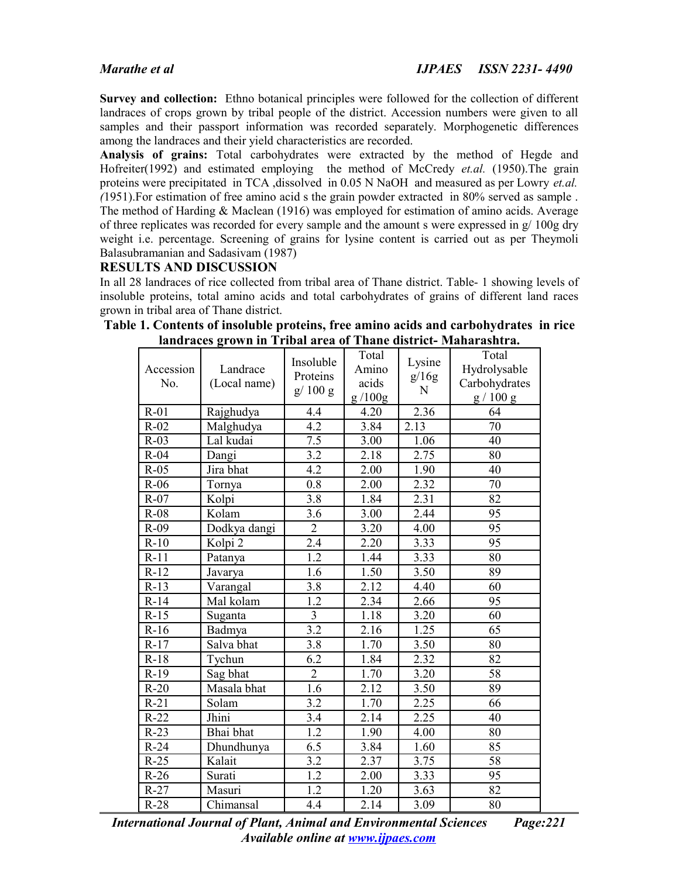**Survey and collection:** Ethno botanical principles were followed for the collection of different landraces of crops grown by tribal people of the district. Accession numbers were given to all samples and their passport information was recorded separately. Morphogenetic differences among the landraces and their yield characteristics are recorded.

**Analysis of grains:** Total carbohydrates were extracted by the method of Hegde and Hofreiter(1992) and estimated employing the method of McCredy *et.al.* (1950).The grain proteins were precipitated in TCA ,dissolved in 0.05 N NaOH and measured as per Lowry *et.al. (*1951).For estimation of free amino acid s the grain powder extracted in 80% served as sample . The method of Harding & Maclean (1916) was employed for estimation of amino acids. Average of three replicates was recorded for every sample and the amount s were expressed in g/ 100g dry weight i.e. percentage. Screening of grains for lysine content is carried out as per Theymoli Balasubramanian and Sadasivam (1987)

## **RESULTS AND DISCUSSION**

In all 28 landraces of rice collected from tribal area of Thane district. Table- 1 showing levels of insoluble proteins, total amino acids and total carbohydrates of grains of different land races grown in tribal area of Thane district.

| Accession<br>No. | Landrace<br>(Local name) | Insoluble<br>Proteins<br>g/100g | Total<br>Amino<br>acids<br>g/100g | Lysine<br>g/16g<br>N | Total<br>Hydrolysable<br>Carbohydrates<br>g / 100 g |
|------------------|--------------------------|---------------------------------|-----------------------------------|----------------------|-----------------------------------------------------|
| $R-01$           | Rajghudya                | 4.4                             | 4.20                              | 2.36                 | 64                                                  |
| $R-02$           | Malghudya                | 4.2                             | 3.84                              | 2.13                 | 70                                                  |
| $R-03$           | Lal kudai                | $\overline{7.5}$                | $\overline{3}.00$                 | 1.06                 | 40                                                  |
| $R-04$           | Dangi                    | 3.2                             | 2.18                              | 2.75                 | 80                                                  |
| $R-05$           | Jira bhat                | 4.2                             | 2.00                              | 1.90                 | 40                                                  |
| $R-06$           | Tornya                   | 0.8                             | 2.00                              | 2.32                 | 70                                                  |
| $R-07$           | Kolpi                    | 3.8                             | 1.84                              | 2.31                 | 82                                                  |
| $R-08$           | Kolam                    | 3.6                             | 3.00                              | 2.44                 | 95                                                  |
| $R-09$           | Dodkya dangi             | $\overline{2}$                  | 3.20                              | 4.00                 | 95                                                  |
| $R-10$           | Kolpi 2                  | 2.4                             | 2.20                              | 3.33                 | 95                                                  |
| $R-11$           | Patanya                  | $\overline{1.2}$                | 1.44                              | 3.33                 | 80                                                  |
| $R-12$           | Javarya                  | 1.6                             | 1.50                              | 3.50                 | 89                                                  |
| $R-13$           | Varangal                 | 3.8                             | 2.12                              | 4.40                 | 60                                                  |
| $R-14$           | Mal kolam                | $\overline{1.2}$                | 2.34                              | 2.66                 | 95                                                  |
| $R-15$           | Suganta                  | $\overline{3}$                  | 1.18                              | 3.20                 | 60                                                  |
| $R-16$           | Badmya                   | 3.2                             | 2.16                              | 1.25                 | 65                                                  |
| $R-17$           | Salva bhat               | $\overline{3.8}$                | 1.70                              | 3.50                 | 80                                                  |
| $R-18$           | Tychun                   | 6.2                             | 1.84                              | 2.32                 | 82                                                  |
| $R-19$           | Sag bhat                 | $\overline{2}$                  | 1.70                              | 3.20                 | 58                                                  |
| $R-20$           | Masala bhat              | 1.6                             | 2.12                              | 3.50                 | 89                                                  |
| $R-21$           | Solam                    | 3.2                             | 1.70                              | 2.25                 | 66                                                  |
| $R-22$           | Jhini                    | 3.4                             | 2.14                              | 2.25                 | 40                                                  |
| $R-23$           | Bhai bhat                | 1.2                             | 1.90                              | 4.00                 | 80                                                  |
| $R-24$           | Dhundhunya               | 6.5                             | 3.84                              | 1.60                 | 85                                                  |
| $R-25$           | Kalait                   | 3.2                             | 2.37                              | 3.75                 | 58                                                  |
| $R-26$           | Surati                   | 1.2                             | 2.00                              | 3.33                 | 95                                                  |
| $R-27$           | Masuri                   | 1.2                             | 1.20                              | 3.63                 | 82                                                  |
| $R-28$           | Chimansal                | 4.4                             | 2.14                              | $\overline{3.09}$    | 80                                                  |

**Table 1. Contents of insoluble proteins, free amino acids and carbohydrates in rice landraces grown in Tribal area of Thane district- Maharashtra.**

*International Journal of Plant, Animal and Environmental Sciences Page:221 Available online at [www.ijpaes.com](http://www.ijpaes.com/)*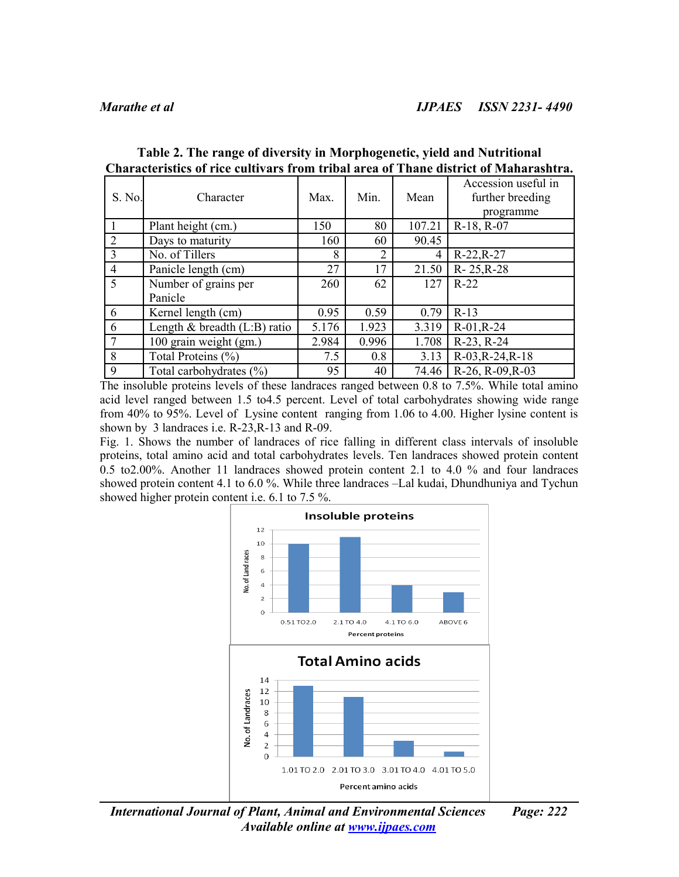| S. No.                      | Character                       | Max.  | Min.           | Mean   | Accession useful in<br>further breeding<br>programme |
|-----------------------------|---------------------------------|-------|----------------|--------|------------------------------------------------------|
|                             | Plant height (cm.)              | 150   | 80             | 107.21 | $R-18$ , $R-07$                                      |
| $\mathcal{D}_{\mathcal{L}}$ | Days to maturity                | 160   | 60             | 90.45  |                                                      |
| 3                           | No. of Tillers                  | 8     | $\overline{2}$ | 4      | $R-22, R-27$                                         |
| $\overline{4}$              | Panicle length (cm)             | 27    | 17             | 21.50  | $R - 25R - 28$                                       |
| 5                           | Number of grains per            | 260   | 62             | 127    | $R-22$                                               |
|                             | Panicle                         |       |                |        |                                                      |
| 6                           | Kernel length (cm)              | 0.95  | 0.59           | 0.79   | $R-13$                                               |
| 6                           | Length $\&$ breadth (L:B) ratio | 5.176 | 1.923          | 3.319  | $R-01, R-24$                                         |
|                             | 100 grain weight (gm.)          | 2.984 | 0.996          | 1.708  | $R-23, R-24$                                         |
| 8                           | Total Proteins (%)              | 7.5   | 0.8            | 3.13   | $R-03, R-24, R-18$                                   |
| 9                           | Total carbohydrates (%)         | 95    | 40             | 74.46  | R-26, R-09, R-03                                     |

**Table 2. The range of diversity in Morphogenetic, yield and Nutritional Characteristics of rice cultivars from tribal area of Thane district of Maharashtra.**

The insoluble proteins levels of these landraces ranged between 0.8 to 7.5%. While total amino acid level ranged between 1.5 to4.5 percent. Level of total carbohydrates showing wide range from 40% to 95%. Level of Lysine content ranging from 1.06 to 4.00. Higher lysine content is shown by 3 landraces i.e. R-23,R-13 and R-09.

Fig. 1. Shows the number of landraces of rice falling in different class intervals of insoluble proteins, total amino acid and total carbohydrates levels. Ten landraces showed protein content 0.5 to2.00%. Another 11 landraces showed protein content 2.1 to 4.0 % and four landraces showed protein content 4.1 to 6.0 %. While three landraces –Lal kudai, Dhundhuniya and Tychun showed higher protein content i.e. 6.1 to 7.5 %.



*International Journal of Plant, Animal and Environmental Sciences Page: 222 Available online at [www.ijpaes.com](http://www.ijpaes.com/)*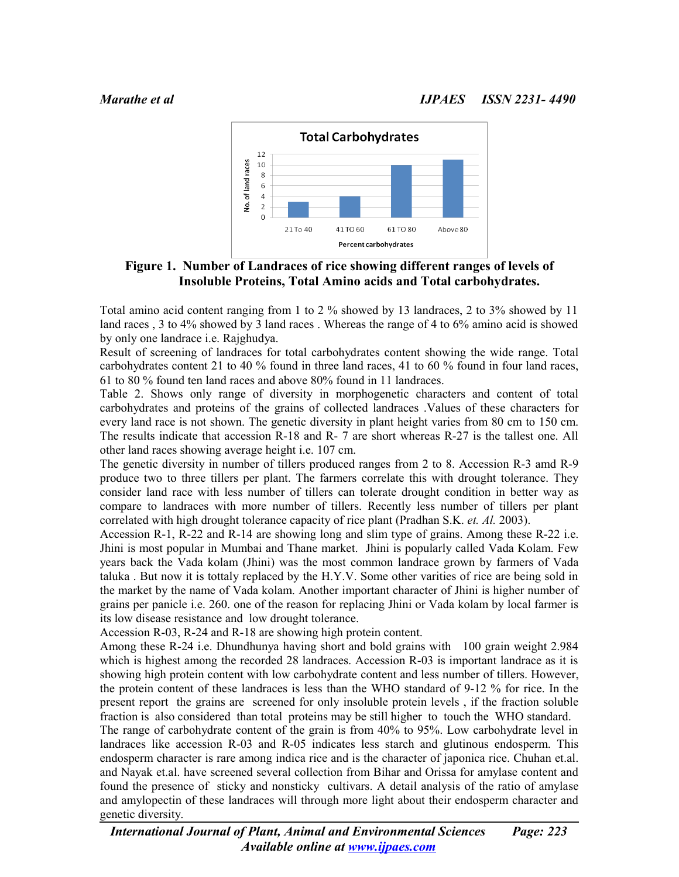

**Figure 1. Number of Landraces of rice showing different ranges of levels of Insoluble Proteins, Total Amino acids and Total carbohydrates.**

Total amino acid content ranging from 1 to 2 % showed by 13 landraces, 2 to 3% showed by 11 land races , 3 to 4% showed by 3 land races . Whereas the range of 4 to 6% amino acid is showed by only one landrace i.e. Rajghudya.

Result of screening of landraces for total carbohydrates content showing the wide range. Total carbohydrates content 21 to 40 % found in three land races, 41 to 60 % found in four land races, 61 to 80 % found ten land races and above 80% found in 11 landraces.

Table 2. Shows only range of diversity in morphogenetic characters and content of total carbohydrates and proteins of the grains of collected landraces .Values of these characters for every land race is not shown. The genetic diversity in plant height varies from 80 cm to 150 cm. The results indicate that accession R-18 and R- 7 are short whereas R-27 is the tallest one. All other land races showing average height i.e. 107 cm.

The genetic diversity in number of tillers produced ranges from 2 to 8. Accession R-3 amd R-9 produce two to three tillers per plant. The farmers correlate this with drought tolerance. They consider land race with less number of tillers can tolerate drought condition in better way as compare to landraces with more number of tillers. Recently less number of tillers per plant correlated with high drought tolerance capacity of rice plant (Pradhan S.K. *et. Al.* 2003).

Accession R-1, R-22 and R-14 are showing long and slim type of grains. Among these R-22 i.e. Jhini is most popular in Mumbai and Thane market. Jhini is popularly called Vada Kolam. Few years back the Vada kolam (Jhini) was the most common landrace grown by farmers of Vada taluka . But now it is tottaly replaced by the H.Y.V. Some other varities of rice are being sold in the market by the name of Vada kolam. Another important character of Jhini is higher number of grains per panicle i.e. 260. one of the reason for replacing Jhini or Vada kolam by local farmer is its low disease resistance and low drought tolerance.

Accession R-03, R-24 and R-18 are showing high protein content.

Among these R-24 i.e. Dhundhunya having short and bold grains with 100 grain weight 2.984 which is highest among the recorded 28 landraces. Accession R-03 is important landrace as it is showing high protein content with low carbohydrate content and less number of tillers. However, the protein content of these landraces is less than the WHO standard of 9-12 % for rice. In the present report the grains are screened for only insoluble protein levels , if the fraction soluble fraction is also considered than total proteins may be still higher to touch the WHO standard.

The range of carbohydrate content of the grain is from 40% to 95%. Low carbohydrate level in landraces like accession R-03 and R-05 indicates less starch and glutinous endosperm. This endosperm character is rare among indica rice and is the character of japonica rice. Chuhan et.al. and Nayak et.al. have screened several collection from Bihar and Orissa for amylase content and found the presence of sticky and nonsticky cultivars. A detail analysis of the ratio of amylase and amylopectin of these landraces will through more light about their endosperm character and genetic diversity.